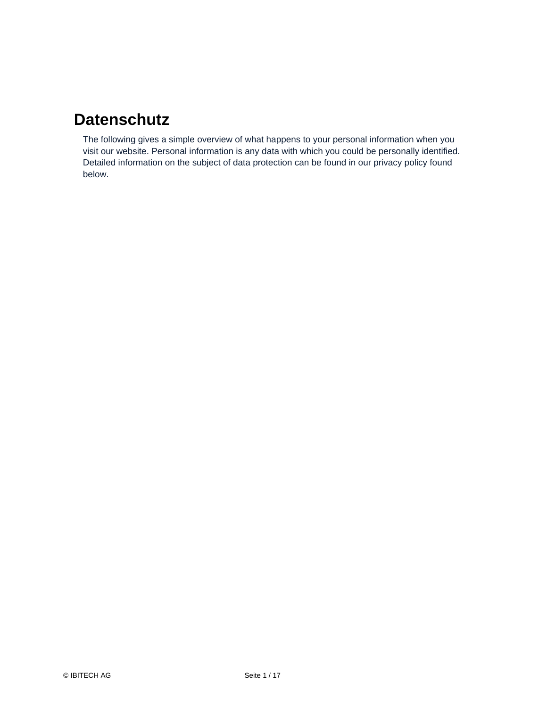#### **Datenschutz**

The following gives a simple overview of what happens to your personal information when you visit our website. Personal information is any data with which you could be personally identified. Detailed information on the subject of data protection can be found in our privacy policy found below.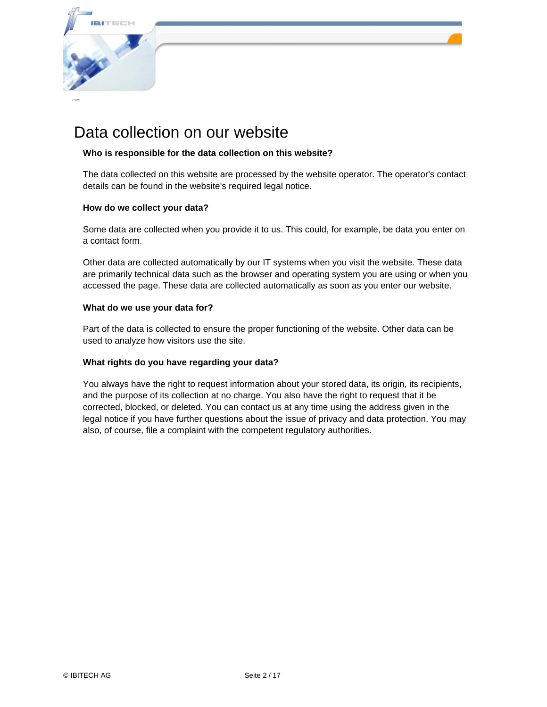

#### Data collection on our website

#### **Who is responsible for the data collection on this website?**

The data collected on this website are processed by the website operator. The operator's contact details can be found in the website's required legal notice.

#### **How do we collect your data?**

Some data are collected when you provide it to us. This could, for example, be data you enter on a contact form.

Other data are collected automatically by our IT systems when you visit the website. These data are primarily technical data such as the browser and operating system you are using or when you accessed the page. These data are collected automatically as soon as you enter our website.

#### **What do we use your data for?**

Part of the data is collected to ensure the proper functioning of the website. Other data can be used to analyze how visitors use the site.

#### **What rights do you have regarding your data?**

You always have the right to request information about your stored data, its origin, its recipients, and the purpose of its collection at no charge. You also have the right to request that it be corrected, blocked, or deleted. You can contact us at any time using the address given in the legal notice if you have further questions about the issue of privacy and data protection. You may also, of course, file a complaint with the competent regulatory authorities.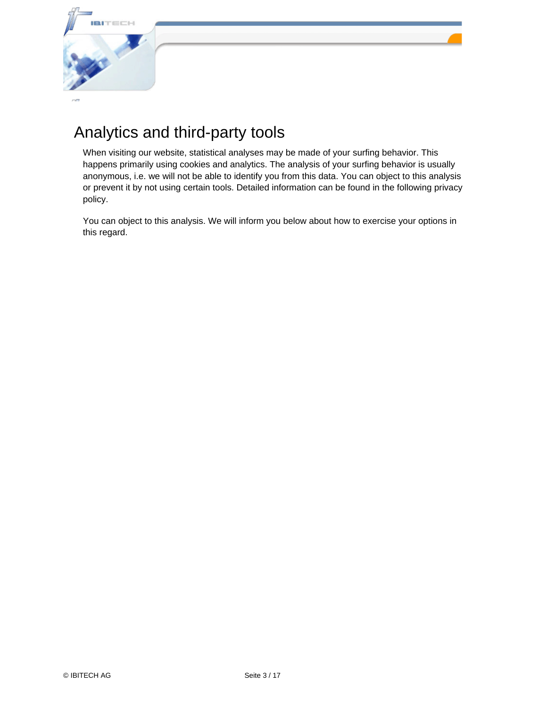

## Analytics and third-party tools

When visiting our website, statistical analyses may be made of your surfing behavior. This happens primarily using cookies and analytics. The analysis of your surfing behavior is usually anonymous, i.e. we will not be able to identify you from this data. You can object to this analysis or prevent it by not using certain tools. Detailed information can be found in the following privacy policy.

You can object to this analysis. We will inform you below about how to exercise your options in this regard.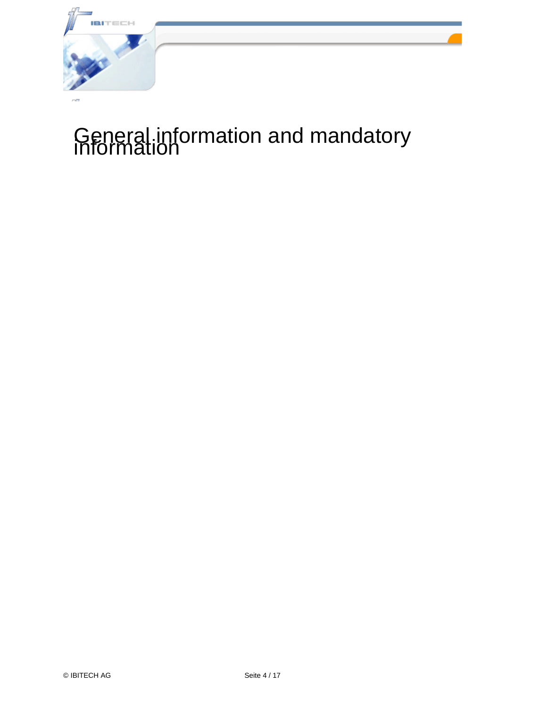

# General information and mandatory information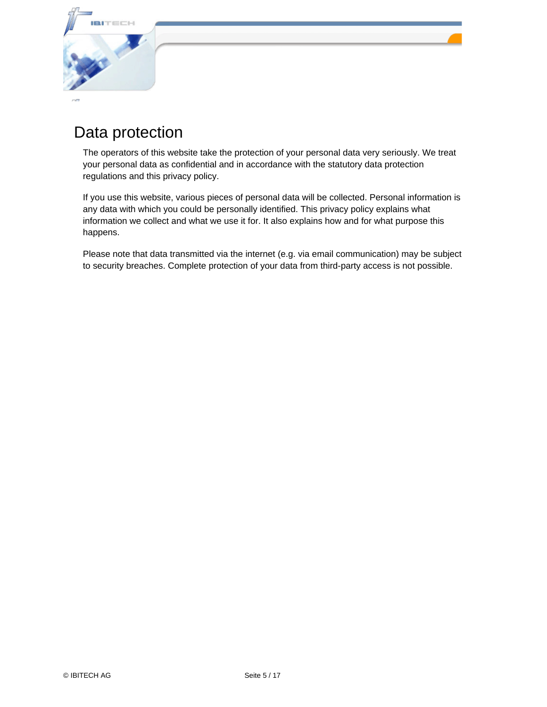

#### Data protection

The operators of this website take the protection of your personal data very seriously. We treat your personal data as confidential and in accordance with the statutory data protection regulations and this privacy policy.

If you use this website, various pieces of personal data will be collected. Personal information is any data with which you could be personally identified. This privacy policy explains what information we collect and what we use it for. It also explains how and for what purpose this happens.

Please note that data transmitted via the internet (e.g. via email communication) may be subject to security breaches. Complete protection of your data from third-party access is not possible.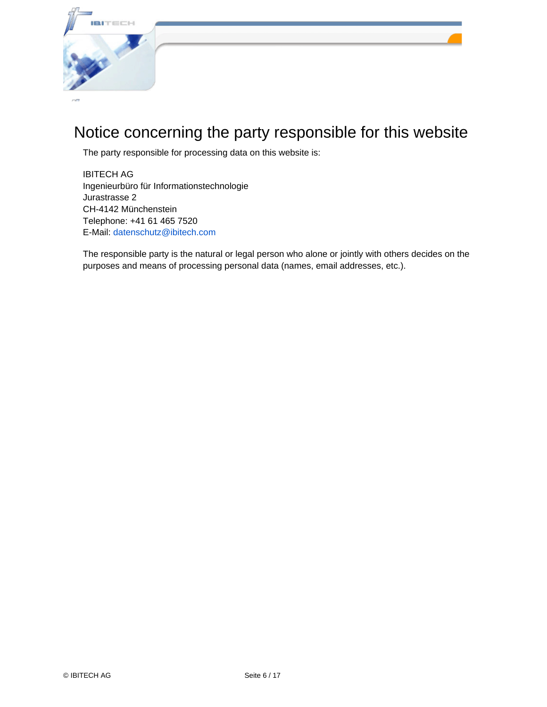

## Notice concerning the party responsible for this website

The party responsible for processing data on this website is:

IBITECH AG Ingenieurbüro für Informationstechnologie Jurastrasse 2 CH-4142 Münchenstein Telephone: +41 61 465 7520 E-Mail: [datenschutz@ibitech.com](mailto:datenschutz@ibitech.com)

The responsible party is the natural or legal person who alone or jointly with others decides on the purposes and means of processing personal data (names, email addresses, etc.).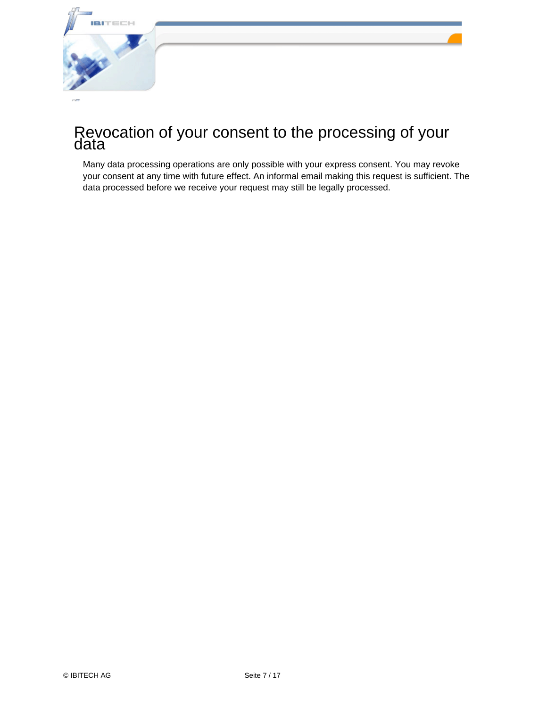

#### Revocation of your consent to the processing of your data

Many data processing operations are only possible with your express consent. You may revoke your consent at any time with future effect. An informal email making this request is sufficient. The data processed before we receive your request may still be legally processed.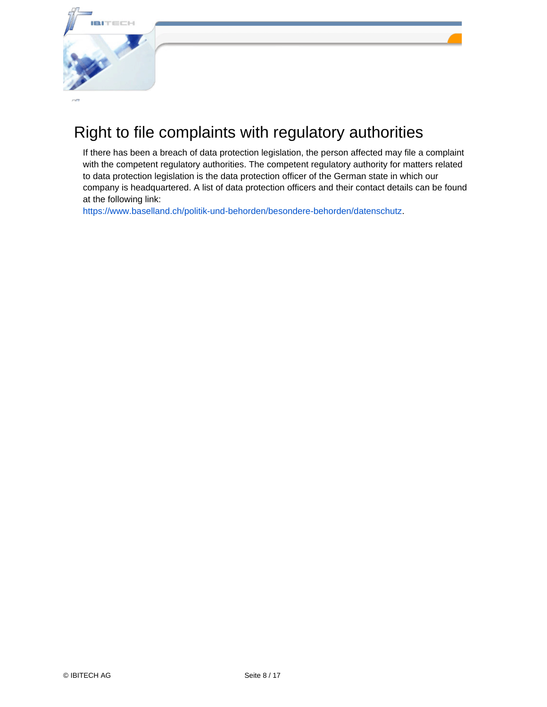

## Right to file complaints with regulatory authorities

If there has been a breach of data protection legislation, the person affected may file a complaint with the competent regulatory authorities. The competent regulatory authority for matters related to data protection legislation is the data protection officer of the German state in which our company is headquartered. A list of data protection officers and their contact details can be found at the following link:

<https://www.baselland.ch/politik-und-behorden/besondere-behorden/datenschutz>.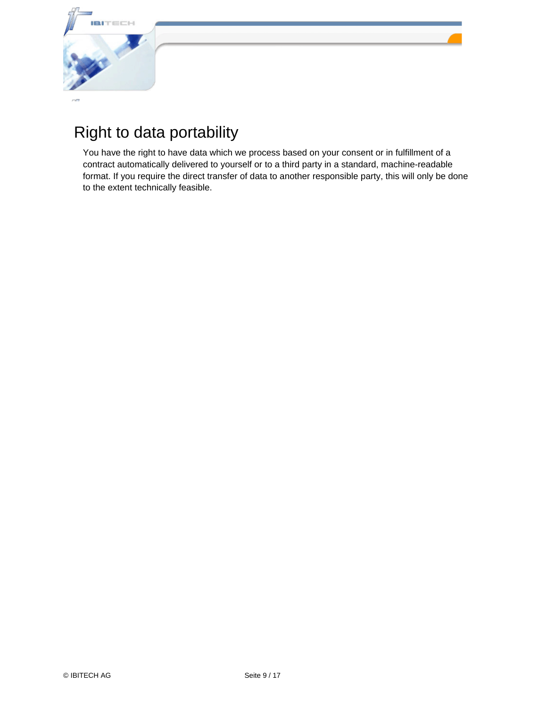

## Right to data portability

You have the right to have data which we process based on your consent or in fulfillment of a contract automatically delivered to yourself or to a third party in a standard, machine-readable format. If you require the direct transfer of data to another responsible party, this will only be done to the extent technically feasible.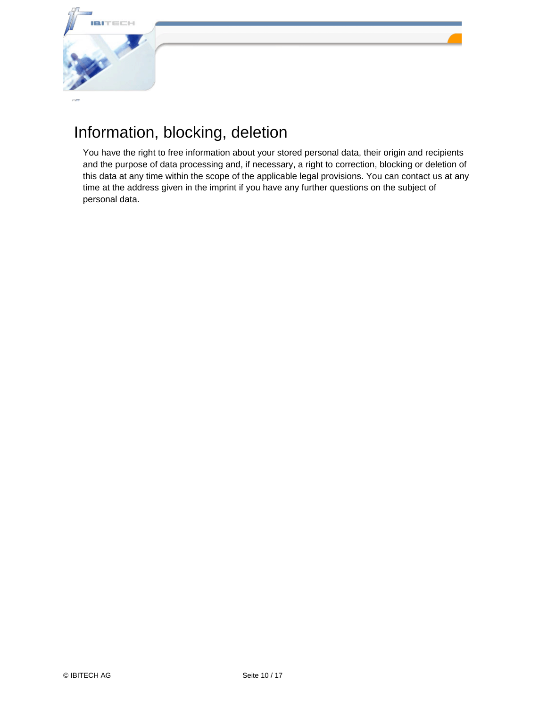

#### Information, blocking, deletion

You have the right to free information about your stored personal data, their origin and recipients and the purpose of data processing and, if necessary, a right to correction, blocking or deletion of this data at any time within the scope of the applicable legal provisions. You can contact us at any time at the address given in the imprint if you have any further questions on the subject of personal data.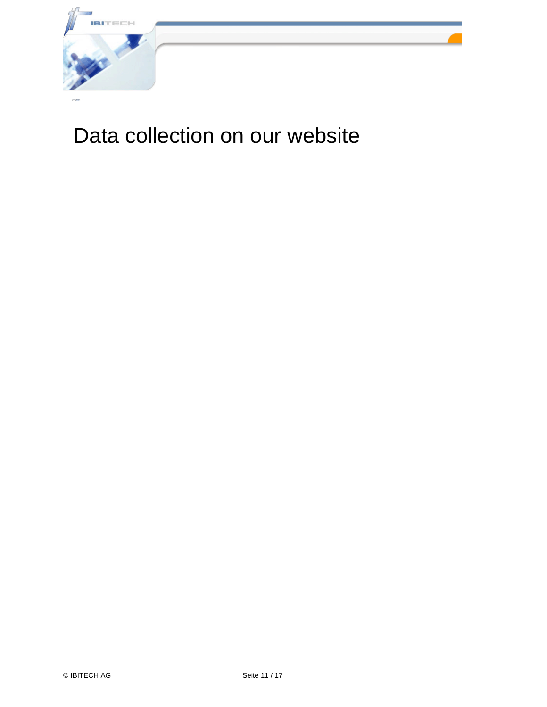

## Data collection on our website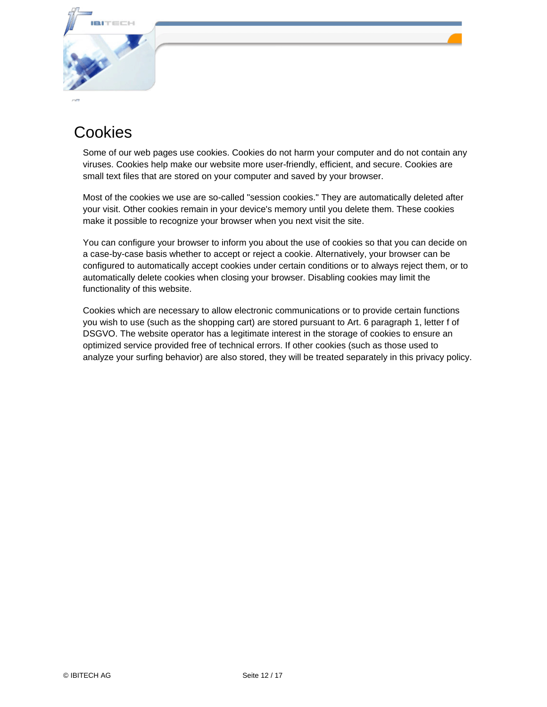

#### Cookies

Some of our web pages use cookies. Cookies do not harm your computer and do not contain any viruses. Cookies help make our website more user-friendly, efficient, and secure. Cookies are small text files that are stored on your computer and saved by your browser.

Most of the cookies we use are so-called "session cookies." They are automatically deleted after your visit. Other cookies remain in your device's memory until you delete them. These cookies make it possible to recognize your browser when you next visit the site.

You can configure your browser to inform you about the use of cookies so that you can decide on a case-by-case basis whether to accept or reject a cookie. Alternatively, your browser can be configured to automatically accept cookies under certain conditions or to always reject them, or to automatically delete cookies when closing your browser. Disabling cookies may limit the functionality of this website.

Cookies which are necessary to allow electronic communications or to provide certain functions you wish to use (such as the shopping cart) are stored pursuant to Art. 6 paragraph 1, letter f of DSGVO. The website operator has a legitimate interest in the storage of cookies to ensure an optimized service provided free of technical errors. If other cookies (such as those used to analyze your surfing behavior) are also stored, they will be treated separately in this privacy policy.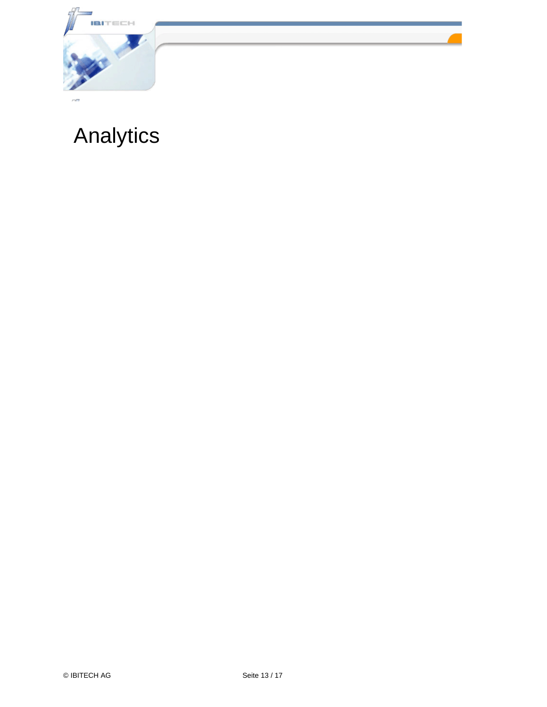

## Analytics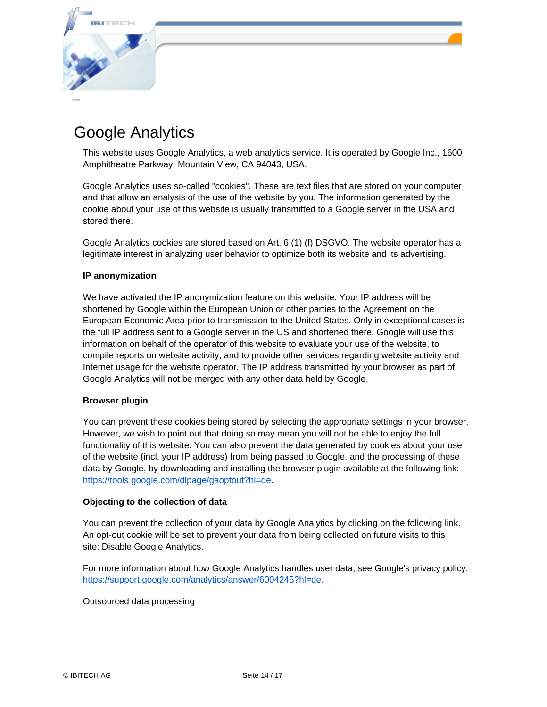

## Google Analytics

This website uses Google Analytics, a web analytics service. It is operated by Google Inc., 1600 Amphitheatre Parkway, Mountain View, CA 94043, USA.

Google Analytics uses so-called "cookies". These are text files that are stored on your computer and that allow an analysis of the use of the website by you. The information generated by the cookie about your use of this website is usually transmitted to a Google server in the USA and stored there.

Google Analytics cookies are stored based on Art. 6 (1) (f) DSGVO. The website operator has a legitimate interest in analyzing user behavior to optimize both its website and its advertising.

#### **IP anonymization**

We have activated the IP anonymization feature on this website. Your IP address will be shortened by Google within the European Union or other parties to the Agreement on the European Economic Area prior to transmission to the United States. Only in exceptional cases is the full IP address sent to a Google server in the US and shortened there. Google will use this information on behalf of the operator of this website to evaluate your use of the website, to compile reports on website activity, and to provide other services regarding website activity and Internet usage for the website operator. The IP address transmitted by your browser as part of Google Analytics will not be merged with any other data held by Google.

#### **Browser plugin**

You can prevent these cookies being stored by selecting the appropriate settings in your browser. However, we wish to point out that doing so may mean you will not be able to enjoy the full functionality of this website. You can also prevent the data generated by cookies about your use of the website (incl. your IP address) from being passed to Google, and the processing of these data by Google, by downloading and installing the browser plugin available at the following link: <https://tools.google.com/dlpage/gaoptout?hl=de.>

#### **Objecting to the collection of data**

You can prevent the collection of your data by Google Analytics by clicking on the following link. An opt-out cookie will be set to prevent your data from being collected on future visits to this site: Disable Google Analytics.

For more information about how Google Analytics handles user data, see Google's privacy policy: <https://support.google.com/analytics/answer/6004245?hl=de.>

Outsourced data processing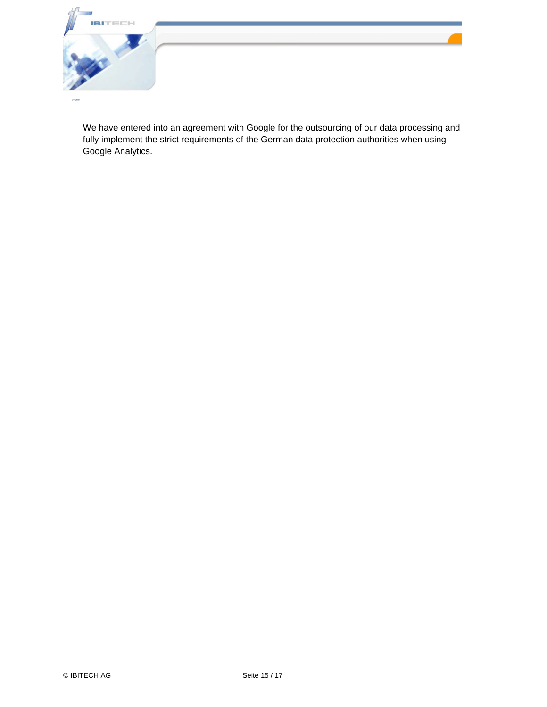

We have entered into an agreement with Google for the outsourcing of our data processing and fully implement the strict requirements of the German data protection authorities when using Google Analytics.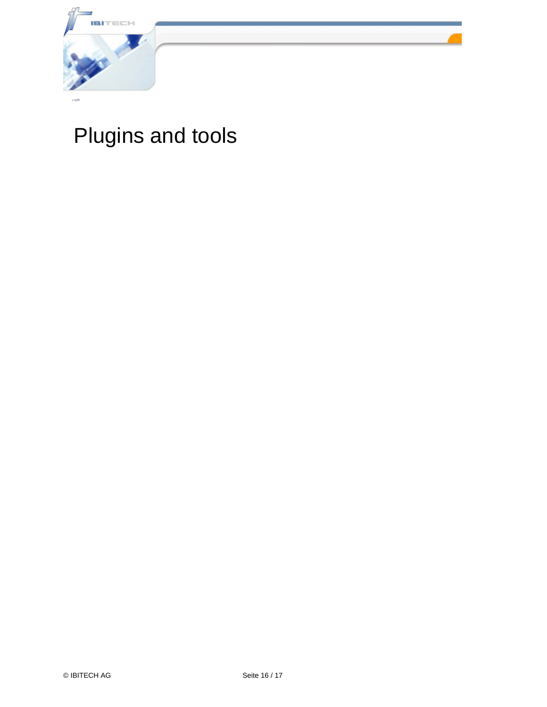

## Plugins and tools